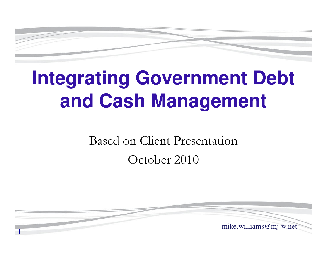

# **Integrating Government Debt and Cash Management**

Based on Client PresentationOctober 2010

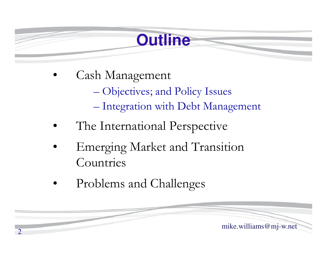#### **Outline**

- • Cash Management Objectives; and Policy Issues Integration with Debt Management
- •The International Perspective
- • Emerging Market and Transition Countries
- •Problems and Challenges

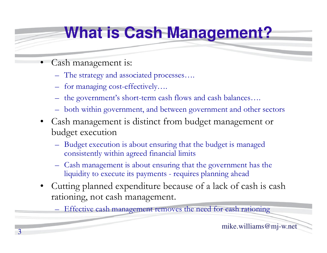#### **What is Cash Management?**

- • Cash management is:
	- The strategy and associated processes….
	- for managing cost-effectively….
	- the government's short-term cash flows and cash balances….
	- both within government, and between government and other sectors
	- • Cash management is distinct from budget management or budget execution
		- Budget execution is about ensuring that the budget is managed consistently within agreed financial limits
		- Cash management is about ensuring that the government has the liquidity to execute its payments - requires planning ahead
	- • Cutting planned expenditure because of a lack of cash is cash rationing, not cash management.

Effective cash management removes the need for cash rationing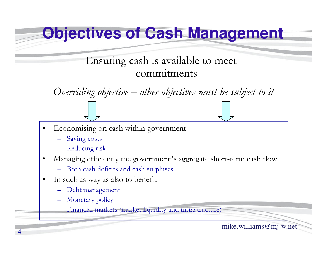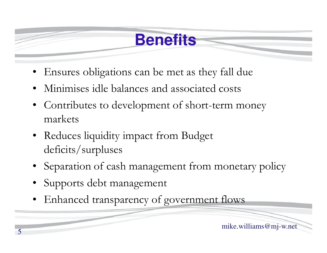#### **Benefits**

- Ensures obligations can be met as they fall due
- •Minimises idle balances and associated costs
- • Contributes to development of short-term money markets
- Reduces liquidity impact from Budget deficits/surpluses
- Separation of cash management from monetary policy
- •Supports debt management
- •Enhanced transparency of government flows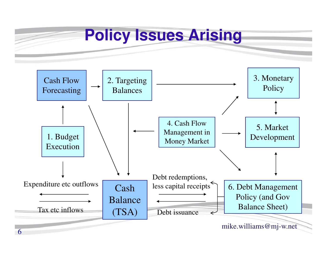

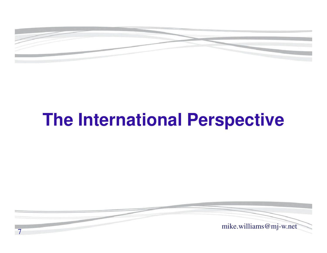

## **The International Perspective**

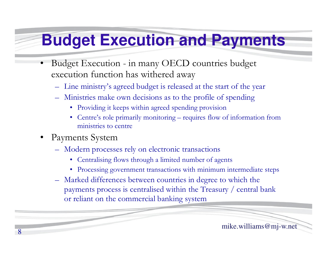#### **Budget Execution and Payments**

- • Budget Execution - in many OECD countries budget execution function has withered away
	- Line ministry's agreed budget is released at the start of the year
	- Ministries make own decisions as to the profile of spending
		- Providing it keeps within agreed spending provision
		- Centre's role primarily monitoring requires flow of information from ministries to centre
- • Payments System
	- $\equiv$  Modern proce Modern processes rely on electronic transactions
		- Centralising flows through a limited number of agents
		- Processing government transactions with minimum intermediate steps
	- Marked differences between countries in degree to which the payments process is centralised within the Treasury / central bank or reliant on the commercial banking system

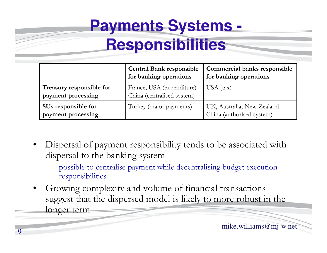# **Payments Systems -**

#### **Responsibilities**

|                                                | <b>Central Bank responsible</b><br>for banking operations | <b>Commercial banks responsible</b><br>for banking operations |  |  |  |  |
|------------------------------------------------|-----------------------------------------------------------|---------------------------------------------------------------|--|--|--|--|
| Treasury responsible for<br>payment processing | France, USA (expenditure)<br>China (centralised system)   | USA (tax)                                                     |  |  |  |  |
| SUs responsible for<br>payment processing      | Turkey (major payments)                                   | UK, Australia, New Zealand<br>China (authorised system)       |  |  |  |  |

- • Dispersal of payment responsibility tends to be associated with dispersal to the banking system
	- $-$  nossible to centralise payment  $\overline{\ }$  possible to centralise payment while decentralising budget execution responsibilities
- • Growing complexity and volume of financial transactions suggest that the dispersed model is likely to more robust in the longer term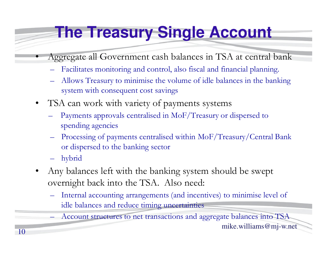## **The Treasury Single Account**

- Aggregate all Government cash balances in TSA at central bank
	- Facilitates monitoring and control, also fiscal and financial planning.
	- $\mathcal{L}_{\mathcal{A}}$  Allows Treasury to minimise the volume of idle balances in the banking system with consequent cost savings
- • TSA can work with variety of payments systems
	- $\mathcal{L}_{\mathcal{A}}$  Payments approvals centralised in MoF/Treasury or dispersed to spending agencies
	- $\mathcal{L}_{\mathcal{A}}$  Processing of payments centralised within MoF/Treasury/Central Bank or dispersed to the banking sector
	- hybrid

•

- • Any balances left with the banking system should be swept overnight back into the TSA. Also need:
	- – Internal accounting arrangements (and incentives) to minimise level of idle balances and reduce timing uncertainties

 $\mathcal{L}_{\mathcal{A}}$ Account structures to net transactions and aggregate balances into TSA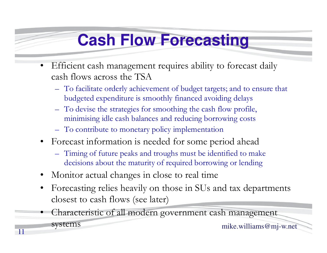#### **Cash Flow Forecasting**

- $\bullet$  Efficient cash management requires ability to forecast daily cash flows across the TSA
	- To facilitate orderly achievement of budget targets; and to ensure that budgeted expenditure is smoothly financed avoiding delays
	- To devise the strategies for smoothing the cash flow profile, minimising idle cash balances and reducing borrowing costs
	- To contribute to monetary policy implementation
- $\bullet$  Forecast information is needed for some period ahead
	- Timing of future peaks and troughs must be identified to make decisions about the maturity of required borrowing or lending
- •Monitor actual changes in close to real time
- $\bullet$  Forecasting relies heavily on those in SUs and tax departments closest to cash flows (see later)
- 11 mike.williams@mj-w.net • Characteristic of all modern government cash management systems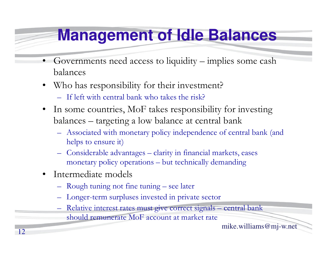#### **Management of Idle Balances**

- • Governments need access to liquidity – implies some cash balances
- • Who has responsibility for their investment?
	- If left with central bank who takes the risk?
- $\bullet$  In some countries, MoF takes responsibility for investing balances – targeting a low balance at central bank
	- Associated with monetary policy independence of central bank (and helps to ensure it)
	- Considerable advantages clarity in financial markets, eases monetary policy operations – but technically demanding
- • Intermediate models
	- Rough tuning not fine tuning see later
	- Longer-term surpluses invested in private sector
	- Relative interest rates must give correct signals central bank should remunerate MoF account at market rate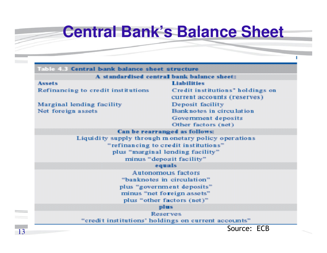#### **Central Bank's Balance Sheet**

I

|                                    | A standardised central bank balance sheet:          |
|------------------------------------|-----------------------------------------------------|
| <b>Assets</b>                      | <b>Liabilities</b>                                  |
| Refinancing to credit institutions | Credit institutions" holdings on                    |
|                                    | current accounts (reserves)                         |
| Marginal lending facility          | Deposit facility                                    |
| Net foreign assets                 | Banknotes in circulation                            |
|                                    | Government deposits                                 |
|                                    | Other factors (net)                                 |
|                                    | Can be rearranged as follows:                       |
|                                    | Liquidity supply through monetary policy operations |
|                                    | "refinancing to credit institutions"                |
|                                    | plus "marginal lending facility"                    |
|                                    | minus "deposit facility"                            |
|                                    | equals                                              |
|                                    | Autonomous factors                                  |
|                                    | "banknotes in circulation"                          |
|                                    | plus "government deposits"                          |
|                                    | minus "net foreign assets"                          |
|                                    | plus "other factors (net)"                          |
|                                    | plus.                                               |
|                                    | <b>Reserves</b>                                     |
|                                    | "credit institutions' holdings on current accounts" |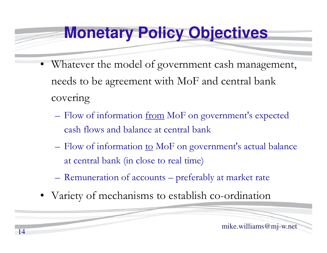#### **Monetary Policy Objectives**

- Whatever the model of government cash management, needs to be agreement with MoF and central bank covering
	- **Hart Committee Committee** Flow of information <u>from</u> MoF on government's expected cash flows and balance at central bank
	- –Flow of information to MoF on government's actual balance at central bank (in close to real time)
	- **Hart Committee Committee** Remuneration of accounts – preferably at market rate
- •Variety of mechanisms to establish co-ordination

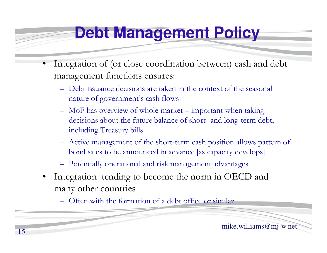#### **Debt Management Policy**

- • Integration of (or close coordination between) cash and debt management functions ensures:
	- Debt issuance decisions are taken in the context of the seasonal nature of government's cash flows
	- MoF has overview of whole market important when taking decisions about the future balance of short- and long-term debt, including Treasury bills
	- Active management of the short-term cash position allows pattern of bond sales to be announced in advance [as capacity develops]
	- Potentially operational and risk management advantages
	- • Integration tending to become the norm in OECD and many other countries
		- Often with the formation of a debt office or similar

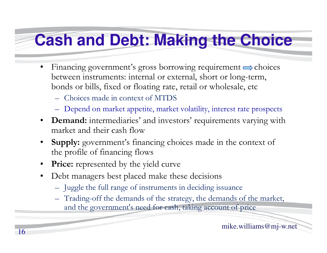## **Cash and Debt: Making the Choice**

- $\bullet$ Financing government's gross borrowing requirement  $\Rightarrow$  choices between instruments: internal or external, short or long-term, bonds or bills, fixed or floating rate, retail or wholesale, etc
	- Choices made in context of MTDS
	- Depend on market appetite, market volatility, interest rate prospects
- **Demand:** intermediaries' and investors' requirements varying with market and their cash flow
- **Supply:** government's financing choices made in the context of •the profile of financing flows
- •**Price:** represented by the yield curve
- $\bullet$  Debt managers best placed make these decisions
	- Juggle the full range of instruments in deciding issuance
	- Trading-off the demands of the strategy, the demands of the market, and the government's need for cash, taking account of price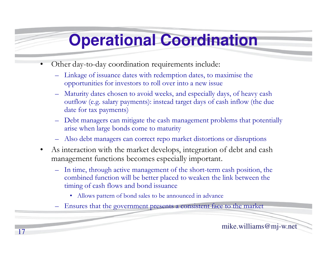## **Operational Coordination**

- • Other day-to-day coordination requirements include:
	- – Linkage of issuance dates with redemption dates, to maximise the opportunities for investors to roll over into a new issue
	- – Maturity dates chosen to avoid weeks, and especially days, of heavy cash outflow (e.g. salary payments): instead target days of cash inflow (the due date for tax payments)
	- – Debt managers can mitigate the cash management problems that potentially arise when large bonds come to maturity
	- Also debt managers can correct repo market distortions or disruptions
	- $\bullet$  As interaction with the market develops, integration of debt and cash management functions becomes especially important.
		- In time, through active management of the short-term cash position, the combined function will be better placed to weaken the link between the timing of cash flows and bond issuance
			- Allows pattern of bond sales to be announced in advance
		- –Ensures that the government presents a consistent face to the market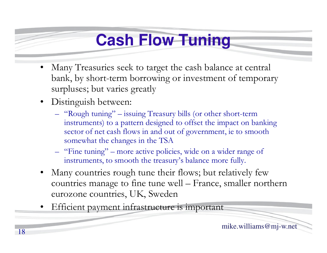#### **Cash Flow Tuning**

- $\bullet$  Many Treasuries seek to target the cash balance at central bank, by short-term borrowing or investment of temporary surpluses; but varies greatly
- Distinguish between:
	- "Rough tuning" issuing Treasury bills (or other short-term instruments) to a pattern designed to offset the impact on banking sector of net cash flows in and out of government, ie to smooth somewhat the changes in the TSA
	- "Fine tuning" more active policies, wide on a wider range of instruments, to smooth the treasury's balance more fully.
- • Many countries rough tune their flows; but relatively few countries manage to fine tune well – France, smaller northern eurozone countries, UK, Sweden
- •Efficient payment infrastructure is important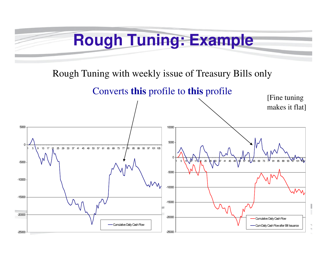#### **Rough Tuning: Example**

Rough Tuning with weekly issue of Treasury Bills only

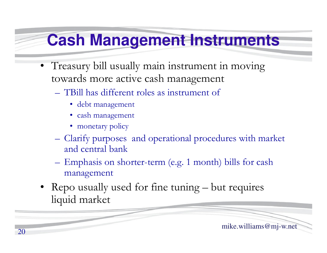#### **Cash Management Instruments**

- Treasury bill usually main instrument in moving towards more active cash management
	- – TBill has different roles as instrument of
		- debt management
		- cash management
		- monetary policy

20

– Clarify purposes and operational procedures with market and central bank

- Emphasis on shorter-term (e.g. 1 month) bills for cash management
- Repo usually used for fine tuning  $-$  but requires liquid market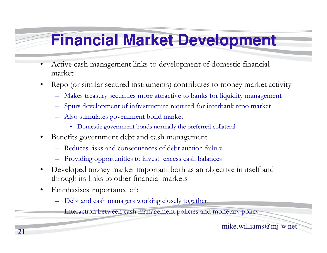#### **Financial Market Development**

- • Active cash management links to development of domestic financial market
- • Repo (or similar secured instruments) contributes to money market activity
	- Makes treasury securities more attractive to banks for liquidity management
	- Spurs development of infrastructure required for interbank repo market
	- Also stimulates government bond market
		- Domestic government bonds normally the preferred collateral
- • Benefits government debt and cash management
	- –Reduces risks and consequences of debt auction failur e
	- –Providing opportunities to invest excess cash balances
- • Developed money market important both as an objective in itself and through its links to other financial markets
- •Emphasises importance of:

–

Debt and cash managers working closely together.

Interaction between cash management policies and monetary policy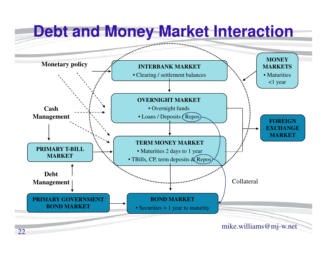![](_page_21_Figure_0.jpeg)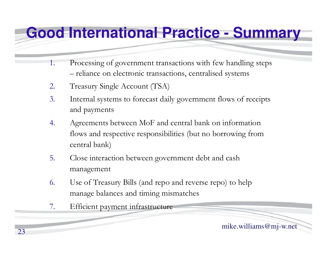#### **Good International Practice - Summary**

- 1. Processing of government transactions with few handling steps reliance on electronic transactions, centralised systems
- 2.Treasury Single Account (TSA)
- 3. Internal systems to forecast daily government flows of receipts and payments
- 4. Agreements between MoF and central bank on information flows and respective responsibilities (but no borrowing from central bank)
- 5. Close interaction between government debt and cash management
- 6. Use of Treasury Bills (and repo and reverse repo) to help manage balances and timing mismatches
- 7.Efficient payment infrastructure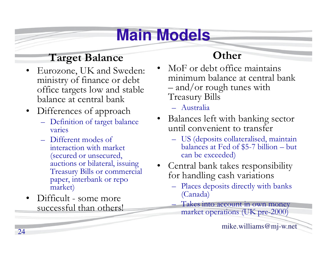## **Main Models**

#### **Target Balance**

- Eurozone, UK and Sweden:<br>ministry of finance or debt •ministry of finance or debt office targets low and stable balance at central bank
- • Differences of approach
	- **Line Communication** - Definition of target balance varies
	- $\mathcal{L}_{\mathcal{A}}$ Different modes of<br>interaction with man interaction with market (secured or unsecured, auctions or bilateral, issuing Treasury Bills or commercial paper, interbank or repo market)
- • Difficult - some more successful than others!

#### **Other**

- • MoF or debt office maintains minimum balance at central bank and/or rough tunes with Treasury Bills
	- Australia
- • Balances left with banking sector until convenient to transfer
	- US (deposits collateralised, maintain<br>balances at Eed of \$5-7 billion but balances at Fed of \$5-7 billion – but can be exceeded)
- • Central bank takes responsibility for handling cash variations
	- Places deposits directly with banks (Canada)
		- Takes into account in own money market operations (UK pre-2000)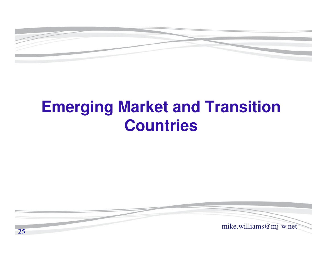![](_page_24_Picture_0.jpeg)

#### **Emerging Market and Transition Countries**

![](_page_24_Picture_2.jpeg)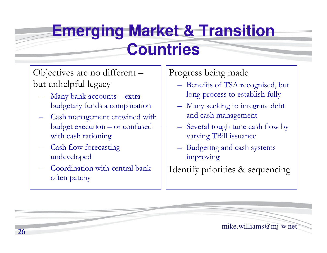#### **Emerging Market & Transition Countries**

Objectives are no different –but unhelpful legacy

- Many bank accounts extrabudgetary funds a complication
- Cash management entwined with budget execution – or confused with cash rationing
- Cash flow forecasting undeveloped
- Coordination with central bank often patchy

#### Progress being made

- Benefits of TSA recognised, but long process to establish fully
- Many seeking to integrate debt and cash management
- Several rough tune cash flow by varying TBill issuance
- –Budgeting and cash systems improving

Identify priorities & sequencing

![](_page_25_Picture_12.jpeg)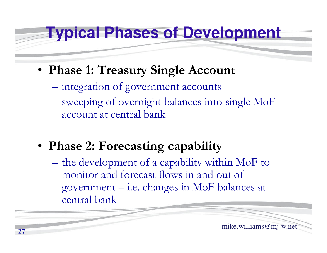#### **Typical Phases of Development**

- **Phase 1: Treasury Single Account**
	- integration of government accounts
	- sweeping of overnight balances into single MoF account at central bank
- **Phase 2: Forecasting capability**
	- the development of a capability within MoF to monitor and forecast flows in and out of government – i.e. changes in MoF balances at central bank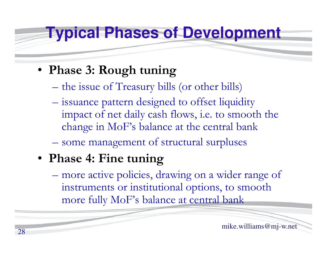#### **Typical Phases of Development**

#### • **Phase 3: Rough tuning**

- the issue of Treasury bills (or other bills)
- issuance pattern designed to offset liquidity impact of net daily cash flows, i.e. to smooth the change in MoF's balance at the central bank
- some management of structural surpluses

#### • **Phase 4: Fine tuning**

more active policies, drawing on a wider range of instruments or institutional options, to smooth more fully MoF's balance at central bank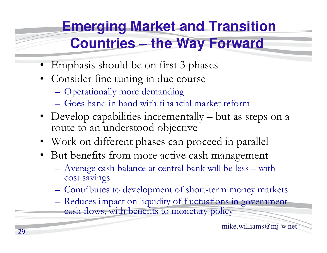#### **Emerging Market and Transition Countries – the Way Forward**

- Emphasis should be on first 3 phases
- Consider fine tuning in due course
	- $\mathcal{L}_{\mathcal{A}}$ Operationally more demanding
	- Goes hand in hand with financial market reform
- Develop capabilities incrementally  $-$  but as steps on a route to an understood objective route to an understood objective
- Work on different phases can proceed in parallel
- But benefits from more active cash management
	- $\mathcal{L}_{\mathcal{A}}$ Average cash balance at central bank will be less – with<br>cost sayings cost savings
	- –Contributes to development of short-term money markets
	- $\mathcal{L}_{\mathcal{A}}$ Reduces impact on liquidity of fluctuations in government<br>cash flows with benefits to monetary policy cash flows, with benefits to monetary policy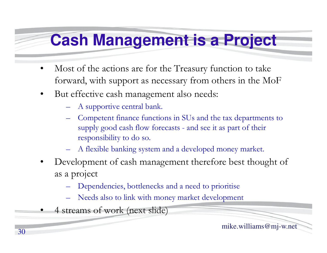#### **Cash Management is a Project**

- • Most of the actions are for the Treasury function to take forward, with support as necessary from others in the MoF
- $\bullet$  But effective cash management also needs:
	- A supportive central bank.
	- Competent finance functions in SUs and the tax departments to supply good cash flow forecasts and see it as part of their responsibility to do so.
	- A flexible banking system and a developed money market.
- • Development of cash management therefore best thought of as a project
	- Dependencies, bottlenecks and a need to prioritise
	- Needs also to link with money market development
- •4 streams of work (next slide)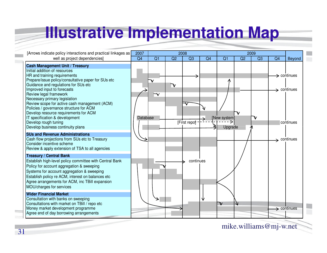#### **Illustrative Implementation Map**

| [Arrows indicate policy interactions and practical linkages as]                                                                                                                                                                                                                                                                                                                              |          | 2007<br>2008         |                           |              |                | 2009                    |                         |    |    |                                                    |  |
|----------------------------------------------------------------------------------------------------------------------------------------------------------------------------------------------------------------------------------------------------------------------------------------------------------------------------------------------------------------------------------------------|----------|----------------------|---------------------------|--------------|----------------|-------------------------|-------------------------|----|----|----------------------------------------------------|--|
| well as project dependencies]                                                                                                                                                                                                                                                                                                                                                                | Q4       | Q1                   | Q2                        | Q3           | Q <sub>4</sub> | Q <sub>1</sub>          | Q2                      | Q3 | Q4 | Beyond                                             |  |
| <b>Cash Management Unit / Treasury</b><br>Initial addition of resources<br>HR and training requirements<br>Prepare/issue policy/consultative paper for SUs etc<br>Guidance and regulations for SUs etc<br>Improved input to forecasts<br>Review legal framework<br>Necessary primary legislation<br>Review scope for active cash management (ACM)<br>Policies / governance structure for ACM |          | $\blacktriangledown$ | $\boldsymbol{\mathsf{v}}$ |              |                | Λ                       |                         |    |    | $\rightarrow$ continues<br>$\rightarrow$ continues |  |
| Develop resource requirements for ACM<br>IT specification & development<br>Develop rough tuning<br>Develop business continuity plans<br><b>SUs and Revenue Administrations</b>                                                                                                                                                                                                               | Database |                      |                           | [First repo] |                | [New system]<br>Upgrade |                         |    |    | continues                                          |  |
| Cash flow projections from SUs etc to Treasury<br>Consider incentive scheme<br>Review & apply extension of TSA to all agencies                                                                                                                                                                                                                                                               |          |                      |                           |              |                |                         |                         |    |    | $\rightarrow$ continues                            |  |
| <b>Treasury / Central Bank</b><br>Establish high-level policy committee with Central Bank<br>Policy for account aggregation & sweeping<br>Systems for account aggregation & sweeping<br>Establish policy re ACM, interest on balances etc<br>Agree arrangements for ACM, inc TBill expansion<br>MOU/charges for services                                                                     |          |                      |                           | continues    |                |                         |                         |    |    |                                                    |  |
| <b>Wider Financial Market</b><br>Consultation with banks on sweeping<br>Consultations with market on TBill / repo etc<br>Money market development programme<br>Agree end of day borrowing arrangements                                                                                                                                                                                       |          |                      |                           |              | ν              | $\mathbb {V}$           | $\overline{\mathsf{v}}$ |    |    | $\rightarrow$ continues                            |  |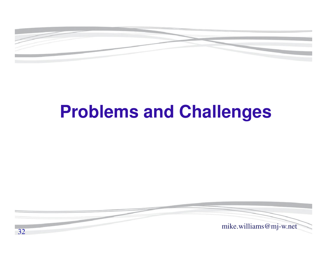![](_page_31_Picture_0.jpeg)

## **Problems and Challenges**

![](_page_31_Picture_2.jpeg)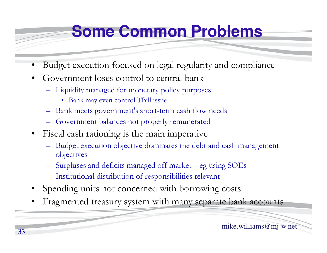#### **Some Common Problems**

- •Budget execution focused on legal regularity and complianc e
- • Government loses control to central bank
	- Liquidity managed for monetary policy purposes
		- Bank may even control TBill issue
	- Bank meets government's short-term cash flow needs
	- Government balances not properly remunerated
- Fiscal cash rationing is the main imperative
	- – Budget execution objective dominates the debt and cash management objectives
	- Surpluses and deficits managed off market eg using SOEs
	- Institutional distribution of responsibilities relevant
- •Spending units not concerned with borrowing costs
- •Fragmented treasury system with many separate bank accounts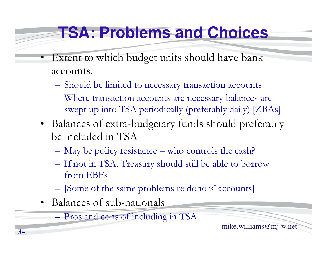#### **TSA: Problems and Choices**

- • Extent to which budget units should have bank accounts.
	- –Should be limited to necessary transaction accounts
	- Where transaction accounts are necessary balances are swept up into TSA periodically (preferably daily) [ZBAs]
	- Balances of extra-budgetary funds should preferably be included in TSA
		- **Hart Committee Committee** May be policy resistance – who controls the cash?
		- – If not in TSA, Treasury should still be able to borrow from EBFs
		- **Hart Committee Committee** [Some of the same problems re donors' accounts]
	- Balances of sub-nationals

Pros and cons of including in TSA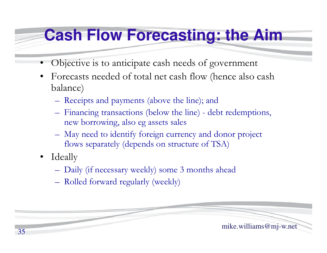#### **Cash Flow Forecasting: the Aim**

- •Objective is to anticipate cash needs of government
- $\bullet$  Forecasts needed of total net cash flow (hence also cash balance)
	- Receipts and payments (above the line); and
	- Financing transactions (below the line) debt redemptions, new borrowing, also eg assets sales
	- May need to identify foreign currency and donor project flows separately (depends on structure of TSA)
- $\bullet$  Ideally
	- Daily (if necessary weekly) some 3 months ahead
	- Rolled forward regularly (weekly)

![](_page_34_Figure_9.jpeg)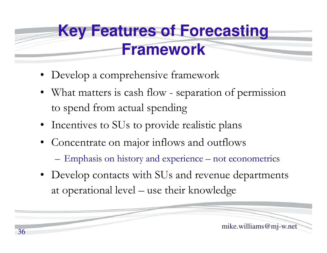## **Key Features of Forecasting Framework**

- Develop a comprehensive framework
- What matters is cash flow separation of permission to spend from actual spending
- Incentives to SUs to provide realistic plans
- Concentrate on major inflows and outflows
	- –Emphasis on history and experience – not econometrics
- Develop contacts with SUs and revenue departments at operational level – use their knowledge

![](_page_35_Picture_7.jpeg)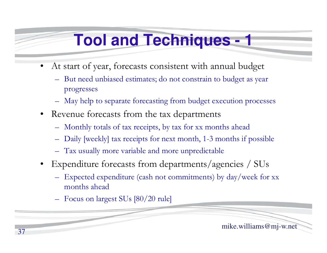#### **Tool and Techniques - 1**

- • At start of year, forecasts consistent with annual budge t
	- But need unbiased estimates; do not constrain to budget as year progresses
	- –May help to separate forecasting from budget execution processes
- $\bullet$  Revenue forecasts from the tax departments
	- Monthly totals of tax receipts, by tax for xx months ahead
	- –Daily [weekly] tax receipts for next month, 1-3 months if possible
	- Tax usually more variable and more unpredictable
- Expenditure forecasts from departments/agencies / SUs
	- – Expected expenditure (cash not commitments) by day/week for xx months ahead
	- Focus on largest SUs [80/20 rule]

![](_page_36_Picture_11.jpeg)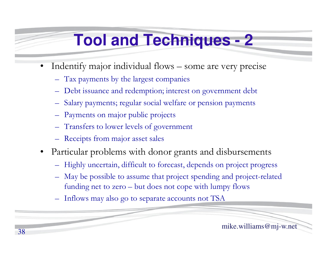#### **Tool and Techniques - 2**

- • Indentify major individual flows – some are very precise
	- Tax payments by the largest companies
	- Debt issuance and redemption; interest on government debt
	- Salary payments; regular social welfare or pension payments
	- Payments on major public projects
	- Transfers to lower levels of government
	- Receipts from major asset sales
- $\bullet$  Particular problems with donor grants and disbursements
	- Highly uncertain, difficult to forecast, depends on project progress
	- May be possible to assume that project spending and project-related funding net to zero – but does not cope with lumpy flows
	- Inflows may also go to separate accounts not TSA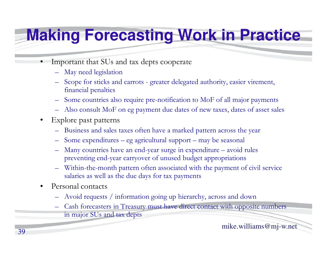### **Making Forecasting Work in Practice**

- • Important that SUs and tax depts cooperate
	- May need legislation
	- – Scope for sticks and carrots - greater delegated authority, easier virement, financial penalties
	- Some countries also require pre-notification to MoF of all major payments
	- Also consult MoF on eg payment due dates of new taxes, dates of asset sales
- • Explore past patterns
	- –Business and sales taxes often have a marked pattern across the year
	- Some expenditures eg agricultural support may be seasonal
	- – Many countries have an end-year surge in expenditure – avoid rules preventing end-year carryover of unused budget appropriations
	- Within-the-month pattern often associated with the payment of civil service salaries as well as the due days for tax payments
- $\bullet$  Personal contacts
	- Avoid requests / information going up hierarchy, across and down
	- – Cash forecasters in Treasury must have direct contact with opposite numbers in major SUs and tax depts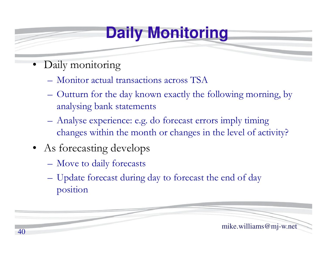#### **Daily Monitoring**

- •Daily monitoring
	- –Monitor actual transactions across TSA
	- **Hart Committee Committee**  Outturn for the day known exactly the following morning, by analysing bank statements
	- Analyse experience: e.g. do forecast errors imply timing changes within the month or changes in the level of activity?
- As forecasting develops
	- –Move to daily forecasts
	- – Update forecast during day to forecast the end of day position

![](_page_39_Figure_8.jpeg)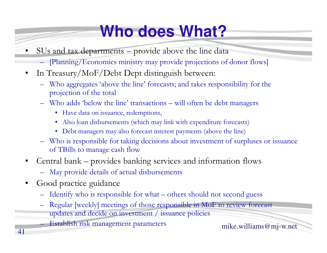## **Who does What?**

- • SUs and tax departments – provide above the line data
	- [Planning/Economics ministry may provide projections of donor flows]
- $\bullet$  In Treasury/MoF/Debt Dept distinguish between:
	- Who aggregates 'above the line' forecasts; and takes responsibility for the targientier of the total projection of the total
	- Who adds 'below the line' transactions will often be debt managers
		- Have data on issuance, redemptions,
		- Also loan disbursements (which may link with expenditure forecasts)
		- Debt managers may also forecast interest payments (above the line)
	- Who is responsible for taking decisions about investment of surpluses or issuance<br>of TPills to manage aseb flam of TBills to manage cash flow
- Central bank provides banking services and information flows  $\bullet$ 
	- May provide details of actual disbursements
- • Good practice guidance
	- Identify who is responsible for what others should not second guess
	- Regular [weekly] meetings of those responsible in MoF to review forecast
	- updates and decide on investment / issuance policies

Establish risk management parameters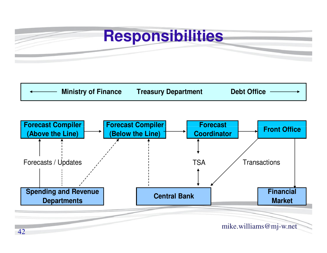#### **Responsibilities**

![](_page_41_Figure_1.jpeg)

![](_page_41_Figure_2.jpeg)

42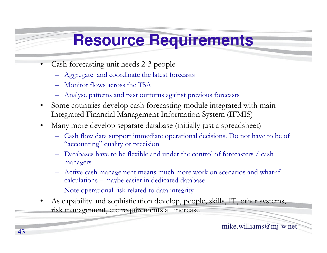#### **Resource Requirements**

- • Cash forecasting unit needs 2-3 people
	- Aggregate and coordinate the latest forecasts
	- –Monitor flows across the TSA
	- –Analyse patterns and past outturns against previous forecasts
	- $\bullet$  Some countries develop cash forecasting module integrated with main Integrated Financial Management Information System (IFMIS)
	- • Many more develop separate database (initially just a spreadsheet)
		- –Cash flow data support immediate operational decisions. Do not have to be of "concentrial" currenties" "accounting" quality or precision
		- Databases have to be flexible and under the control of forecasters / cash managers
		- – Active cash management means much more work on scenarios and what-if calculations – maybe easier in dedicated database
		- Note operational risk related to data integrity
	- • As capability and sophistication develop, people, skills, IT, other systems, risk management, etc requirements all increase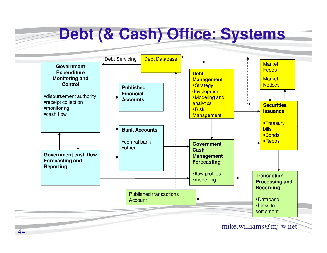#### **Debt (& Cash) Office: SystemsGovernment Expenditure Monitoring and Control**disbursement authorityreceipt collectionmonitoring cash flow**Published Financial AccountsDebt Management-Strategy**  development**Modeling and** analytics $Risk$ <mark>Management</mark> **Securities Issuance-Treasury bills** ■Bonds **Market Feeds Market Notices** Debt Servicing Debt Database**Government cash flow Forecasting and ReportingBank Accounts**central bankother **Government Cash Management Forecasting**<mark>▪Repos</mark>

flow profilesmodelling

44Published transactions **Account** 

mike.williams@mj-w.net

**Transaction** 

**Recording**

DatabaseLinks to settlement

**Processing and**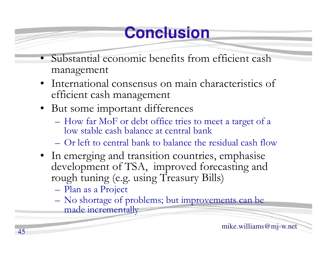## **Conclusion**

- • Substantial economic benefits from efficient cash management
- International consensus on main characteristics of<br>efficient cash management efficient cash management
- But some important differences
	- –– How far MoF or debt office tries to meet a target of a low stable cash balance at central bank
	- –Or left to central bank to balance the residual cash flow
- In emerging and transition countries, emphasise<br>development of TSA improved forecasting and development of TSA, improved forecasting and rough tuning (e.g. using Treasury Bills)
	- –Plan as a Project
	- No shortage of problems; but improvements can be<br>made incrementally made incrementally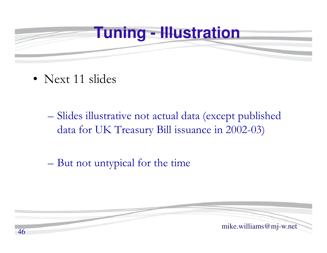![](_page_45_Picture_0.jpeg)

- Next 11 slides
	- $\mathcal{L}_{\mathcal{A}}$ Slides illustrative not actual data (except published data for UK Treasury Bill issuance in 2002-03)
	- $\mathcal{L}_{\mathcal{A}}$ But not untypical for the time

![](_page_45_Picture_4.jpeg)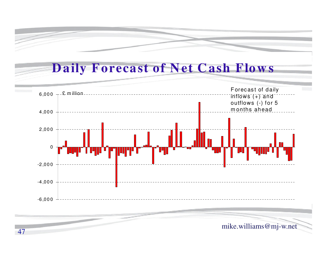#### **D aily Forecast of N et C ash Flow <sup>s</sup>**

![](_page_46_Figure_2.jpeg)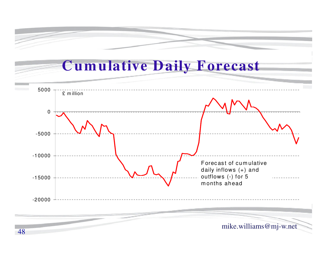![](_page_47_Figure_0.jpeg)

48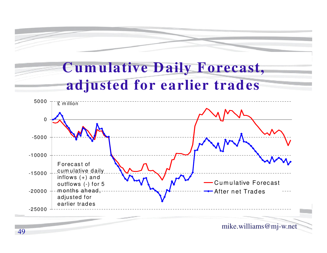![](_page_48_Picture_0.jpeg)

#### **C um ulative D aily Forecast, adjusted for earlier trades**

![](_page_48_Figure_2.jpeg)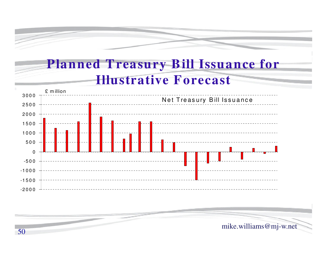![](_page_49_Figure_0.jpeg)

#### **Planned T reasury B ill Issuance for Illustrative Forecast**

![](_page_49_Figure_2.jpeg)

![](_page_49_Picture_3.jpeg)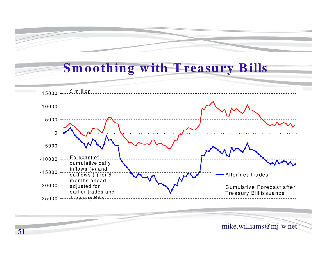# **Sm oothing w ith T reasury B ills**

![](_page_50_Figure_1.jpeg)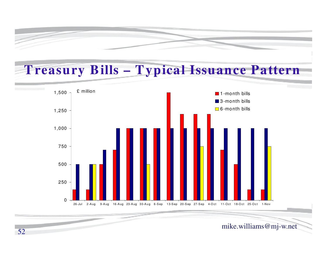![](_page_51_Figure_0.jpeg)

#### **T reasury B ills – T ypical Issuance Pattern**

![](_page_51_Figure_2.jpeg)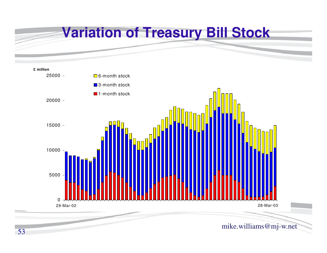![](_page_52_Figure_0.jpeg)

![](_page_52_Figure_1.jpeg)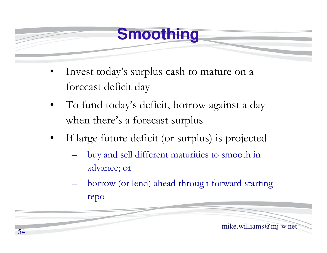#### **Smoothing**

- • Invest today's surplus cash to mature on a forecast deficit day
- • To fund today's deficit, borrow against a day when there's a forecast surplus
- • If large future deficit (or surplus) is projected
	- $\mathcal{L}_{\mathcal{A}}$  buy and sell different maturities to smooth in advance; or
	- – borrow (or lend) ahead through forward starting repo

![](_page_53_Picture_6.jpeg)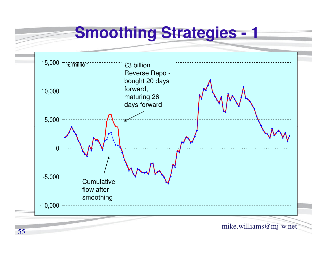#### **Smoothing Strategies - <sup>1</sup>**

![](_page_54_Figure_1.jpeg)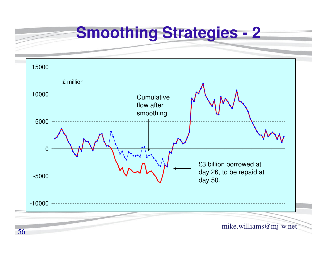**Smoothing Strategies - 2**

![](_page_55_Figure_1.jpeg)